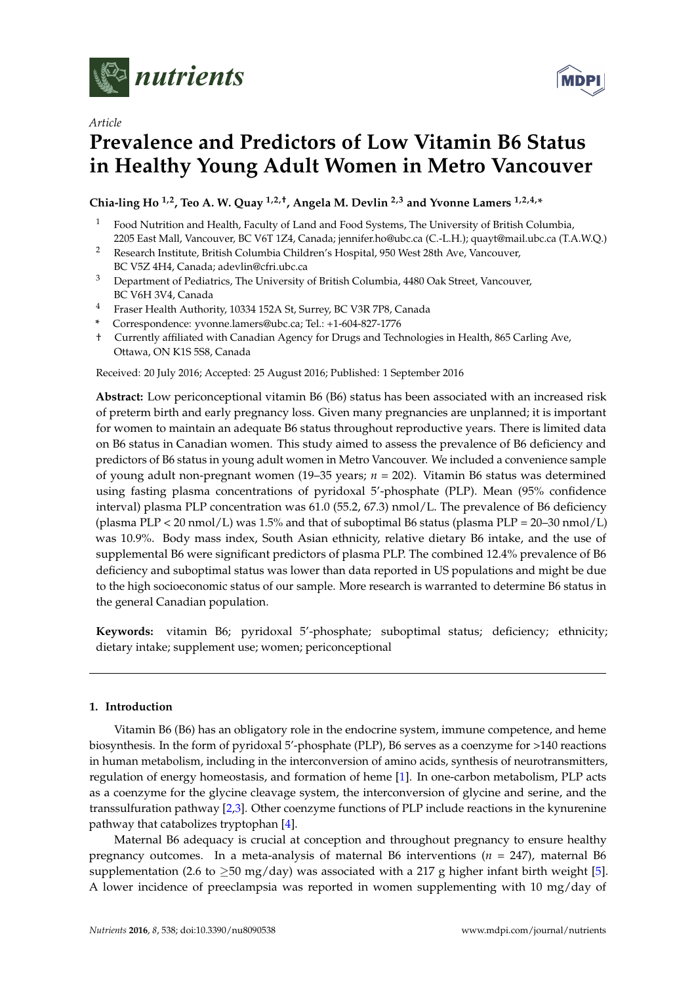



# **Prevalence and Predictors of Low Vitamin B6 Status in Healthy Young Adult Women in Metro Vancouver**

**Chia-ling Ho 1,2, Teo A. W. Quay 1,2,†, Angela M. Devlin 2,3 and Yvonne Lamers 1,2,4,\***

- <sup>1</sup> Food Nutrition and Health, Faculty of Land and Food Systems, The University of British Columbia, 2205 East Mall, Vancouver, BC V6T 1Z4, Canada; jennifer.ho@ubc.ca (C.-L.H.); quayt@mail.ubc.ca (T.A.W.Q.)
- <sup>2</sup> Research Institute, British Columbia Children's Hospital, 950 West 28th Ave, Vancouver, BC V5Z 4H4, Canada; adevlin@cfri.ubc.ca
- <sup>3</sup> Department of Pediatrics, The University of British Columbia, 4480 Oak Street, Vancouver, BC V6H 3V4, Canada
- <sup>4</sup> Fraser Health Authority, 10334 152A St, Surrey, BC V3R 7P8, Canada
- **\*** Correspondence: yvonne.lamers@ubc.ca; Tel.: +1-604-827-1776
- † Currently affiliated with Canadian Agency for Drugs and Technologies in Health, 865 Carling Ave, Ottawa, ON K1S 5S8, Canada

Received: 20 July 2016; Accepted: 25 August 2016; Published: 1 September 2016

**Abstract:** Low periconceptional vitamin B6 (B6) status has been associated with an increased risk of preterm birth and early pregnancy loss. Given many pregnancies are unplanned; it is important for women to maintain an adequate B6 status throughout reproductive years. There is limited data on B6 status in Canadian women. This study aimed to assess the prevalence of B6 deficiency and predictors of B6 status in young adult women in Metro Vancouver. We included a convenience sample of young adult non-pregnant women (19–35 years; *n* = 202). Vitamin B6 status was determined using fasting plasma concentrations of pyridoxal 5'-phosphate (PLP). Mean (95% confidence interval) plasma PLP concentration was 61.0 (55.2, 67.3) nmol/L. The prevalence of B6 deficiency (plasma PLP < 20 nmol/L) was 1.5% and that of suboptimal B6 status (plasma PLP =  $20-30$  nmol/L) was 10.9%. Body mass index, South Asian ethnicity, relative dietary B6 intake, and the use of supplemental B6 were significant predictors of plasma PLP. The combined 12.4% prevalence of B6 deficiency and suboptimal status was lower than data reported in US populations and might be due to the high socioeconomic status of our sample. More research is warranted to determine B6 status in the general Canadian population.

**Keywords:** vitamin B6; pyridoxal 5'-phosphate; suboptimal status; deficiency; ethnicity; dietary intake; supplement use; women; periconceptional

# **1. Introduction**

Vitamin B6 (B6) has an obligatory role in the endocrine system, immune competence, and heme biosynthesis. In the form of pyridoxal 5'-phosphate (PLP), B6 serves as a coenzyme for >140 reactions in human metabolism, including in the interconversion of amino acids, synthesis of neurotransmitters, regulation of energy homeostasis, and formation of heme [\[1\]](#page-8-0). In one-carbon metabolism, PLP acts as a coenzyme for the glycine cleavage system, the interconversion of glycine and serine, and the transsulfuration pathway [\[2,](#page-8-1)[3\]](#page-8-2). Other coenzyme functions of PLP include reactions in the kynurenine pathway that catabolizes tryptophan [\[4\]](#page-8-3).

Maternal B6 adequacy is crucial at conception and throughout pregnancy to ensure healthy pregnancy outcomes. In a meta-analysis of maternal B6 interventions (*n* = 247), maternal B6 supplementation (2.6 to  $\geq$ 50 mg/day) was associated with a 217 g higher infant birth weight [\[5\]](#page-8-4). A lower incidence of preeclampsia was reported in women supplementing with 10 mg/day of

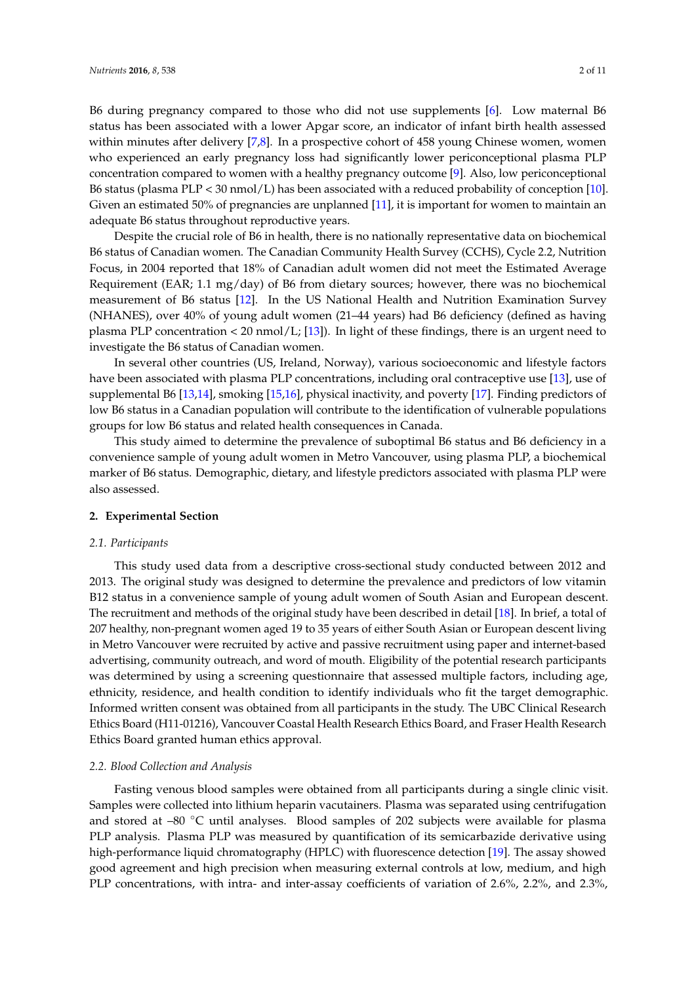B6 during pregnancy compared to those who did not use supplements [\[6\]](#page-8-5). Low maternal B6 status has been associated with a lower Apgar score, an indicator of infant birth health assessed within minutes after delivery [\[7,](#page-8-6)[8\]](#page-8-7). In a prospective cohort of 458 young Chinese women, women who experienced an early pregnancy loss had significantly lower periconceptional plasma PLP concentration compared to women with a healthy pregnancy outcome [\[9\]](#page-8-8). Also, low periconceptional B6 status (plasma PLP < 30 nmol/L) has been associated with a reduced probability of conception [\[10\]](#page-8-9). Given an estimated 50% of pregnancies are unplanned [\[11\]](#page-8-10), it is important for women to maintain an adequate B6 status throughout reproductive years.

Despite the crucial role of B6 in health, there is no nationally representative data on biochemical B6 status of Canadian women. The Canadian Community Health Survey (CCHS), Cycle 2.2, Nutrition Focus, in 2004 reported that 18% of Canadian adult women did not meet the Estimated Average Requirement (EAR; 1.1 mg/day) of B6 from dietary sources; however, there was no biochemical measurement of B6 status [\[12\]](#page-8-11). In the US National Health and Nutrition Examination Survey (NHANES), over 40% of young adult women (21–44 years) had B6 deficiency (defined as having plasma PLP concentration < 20 nmol/L; [\[13\]](#page-8-12)). In light of these findings, there is an urgent need to investigate the B6 status of Canadian women.

In several other countries (US, Ireland, Norway), various socioeconomic and lifestyle factors have been associated with plasma PLP concentrations, including oral contraceptive use [\[13\]](#page-8-12), use of supplemental B6 [\[13](#page-8-12)[,14\]](#page-8-13), smoking [\[15,](#page-8-14)[16\]](#page-9-0), physical inactivity, and poverty [\[17\]](#page-9-1). Finding predictors of low B6 status in a Canadian population will contribute to the identification of vulnerable populations groups for low B6 status and related health consequences in Canada.

This study aimed to determine the prevalence of suboptimal B6 status and B6 deficiency in a convenience sample of young adult women in Metro Vancouver, using plasma PLP, a biochemical marker of B6 status. Demographic, dietary, and lifestyle predictors associated with plasma PLP were also assessed.

## **2. Experimental Section**

#### *2.1. Participants*

This study used data from a descriptive cross-sectional study conducted between 2012 and 2013. The original study was designed to determine the prevalence and predictors of low vitamin B12 status in a convenience sample of young adult women of South Asian and European descent. The recruitment and methods of the original study have been described in detail [\[18\]](#page-9-2). In brief, a total of 207 healthy, non-pregnant women aged 19 to 35 years of either South Asian or European descent living in Metro Vancouver were recruited by active and passive recruitment using paper and internet-based advertising, community outreach, and word of mouth. Eligibility of the potential research participants was determined by using a screening questionnaire that assessed multiple factors, including age, ethnicity, residence, and health condition to identify individuals who fit the target demographic. Informed written consent was obtained from all participants in the study. The UBC Clinical Research Ethics Board (H11-01216), Vancouver Coastal Health Research Ethics Board, and Fraser Health Research Ethics Board granted human ethics approval.

## *2.2. Blood Collection and Analysis*

Fasting venous blood samples were obtained from all participants during a single clinic visit. Samples were collected into lithium heparin vacutainers. Plasma was separated using centrifugation and stored at –80 ◦C until analyses. Blood samples of 202 subjects were available for plasma PLP analysis. Plasma PLP was measured by quantification of its semicarbazide derivative using high-performance liquid chromatography (HPLC) with fluorescence detection [\[19\]](#page-9-3). The assay showed good agreement and high precision when measuring external controls at low, medium, and high PLP concentrations, with intra- and inter-assay coefficients of variation of 2.6%, 2.2%, and 2.3%,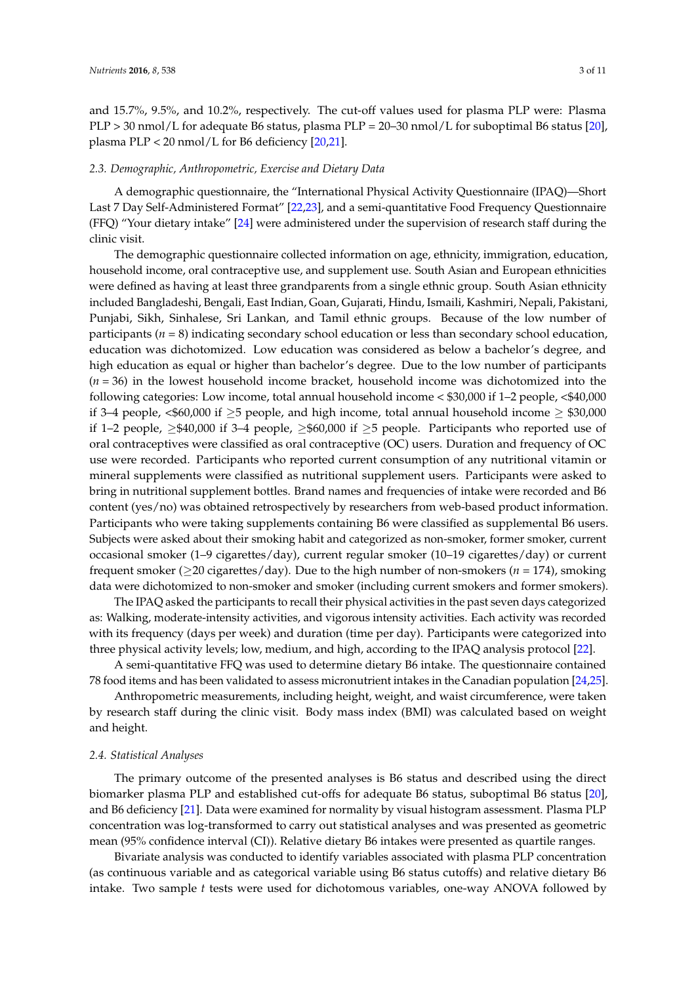and 15.7%, 9.5%, and 10.2%, respectively. The cut-off values used for plasma PLP were: Plasma PLP > 30 nmol/L for adequate B6 status, plasma PLP = 20–30 nmol/L for suboptimal B6 status [\[20\]](#page-9-4), plasma PLP  $<$  20 nmol/L for B6 deficiency [\[20](#page-9-4)[,21\]](#page-9-5).

## *2.3. Demographic, Anthropometric, Exercise and Dietary Data*

A demographic questionnaire, the "International Physical Activity Questionnaire (IPAQ)—Short Last 7 Day Self-Administered Format" [\[22](#page-9-6)[,23\]](#page-9-7), and a semi-quantitative Food Frequency Questionnaire (FFQ) "Your dietary intake" [\[24\]](#page-9-8) were administered under the supervision of research staff during the clinic visit.

The demographic questionnaire collected information on age, ethnicity, immigration, education, household income, oral contraceptive use, and supplement use. South Asian and European ethnicities were defined as having at least three grandparents from a single ethnic group. South Asian ethnicity included Bangladeshi, Bengali, East Indian, Goan, Gujarati, Hindu, Ismaili, Kashmiri, Nepali, Pakistani, Punjabi, Sikh, Sinhalese, Sri Lankan, and Tamil ethnic groups. Because of the low number of participants (*n* = 8) indicating secondary school education or less than secondary school education, education was dichotomized. Low education was considered as below a bachelor's degree, and high education as equal or higher than bachelor's degree. Due to the low number of participants (*n* = 36) in the lowest household income bracket, household income was dichotomized into the following categories: Low income, total annual household income < \$30,000 if 1–2 people, <\$40,000 if 3–4 people, <\$60,000 if  $\geq$ 5 people, and high income, total annual household income  $\geq$  \$30,000 if 1–2 people,  $\geq$ \$40,000 if 3–4 people,  $\geq$ \$60,000 if  $\geq$ 5 people. Participants who reported use of oral contraceptives were classified as oral contraceptive (OC) users. Duration and frequency of OC use were recorded. Participants who reported current consumption of any nutritional vitamin or mineral supplements were classified as nutritional supplement users. Participants were asked to bring in nutritional supplement bottles. Brand names and frequencies of intake were recorded and B6 content (yes/no) was obtained retrospectively by researchers from web-based product information. Participants who were taking supplements containing B6 were classified as supplemental B6 users. Subjects were asked about their smoking habit and categorized as non-smoker, former smoker, current occasional smoker (1–9 cigarettes/day), current regular smoker (10–19 cigarettes/day) or current frequent smoker ( $\geq$ 20 cigarettes/day). Due to the high number of non-smokers ( $n = 174$ ), smoking data were dichotomized to non-smoker and smoker (including current smokers and former smokers).

The IPAQ asked the participants to recall their physical activities in the past seven days categorized as: Walking, moderate-intensity activities, and vigorous intensity activities. Each activity was recorded with its frequency (days per week) and duration (time per day). Participants were categorized into three physical activity levels; low, medium, and high, according to the IPAQ analysis protocol [\[22\]](#page-9-6).

A semi-quantitative FFQ was used to determine dietary B6 intake. The questionnaire contained 78 food items and has been validated to assess micronutrient intakes in the Canadian population [\[24](#page-9-8)[,25\]](#page-9-9).

Anthropometric measurements, including height, weight, and waist circumference, were taken by research staff during the clinic visit. Body mass index (BMI) was calculated based on weight and height.

#### *2.4. Statistical Analyses*

The primary outcome of the presented analyses is B6 status and described using the direct biomarker plasma PLP and established cut-offs for adequate B6 status, suboptimal B6 status [\[20\]](#page-9-4), and B6 deficiency [\[21\]](#page-9-5). Data were examined for normality by visual histogram assessment. Plasma PLP concentration was log-transformed to carry out statistical analyses and was presented as geometric mean (95% confidence interval (CI)). Relative dietary B6 intakes were presented as quartile ranges.

Bivariate analysis was conducted to identify variables associated with plasma PLP concentration (as continuous variable and as categorical variable using B6 status cutoffs) and relative dietary B6 intake. Two sample *t* tests were used for dichotomous variables, one-way ANOVA followed by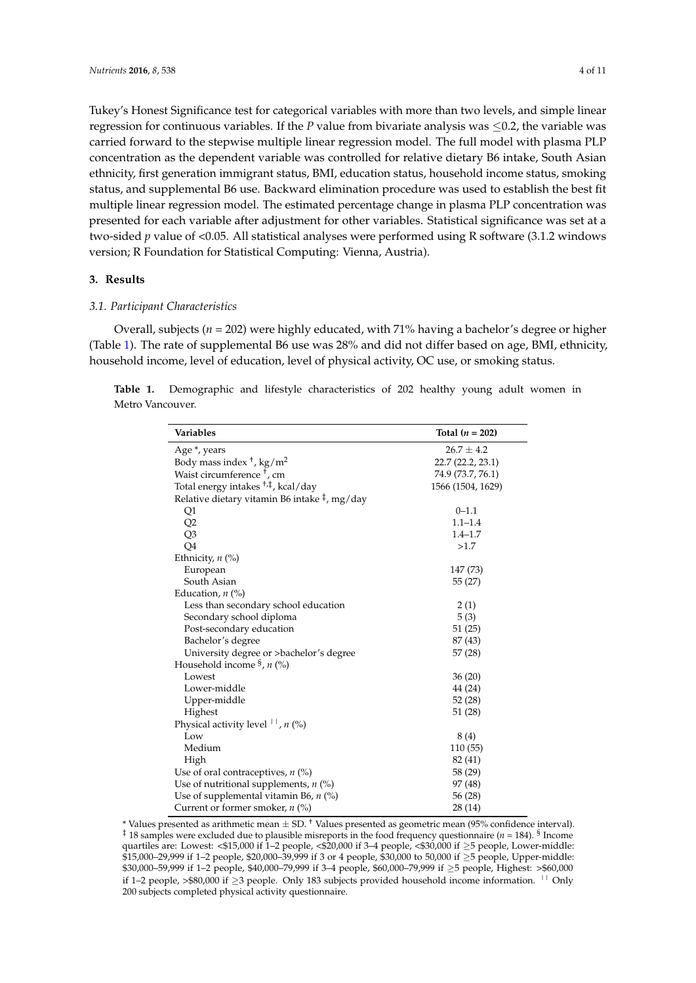Tukey's Honest Significance test for categorical variables with more than two levels, and simple linear regression for continuous variables. If the *P* value from bivariate analysis was  $\leq 0.2$ , the variable was carried forward to the stepwise multiple linear regression model. The full model with plasma PLP concentration as the dependent variable was controlled for relative dietary B6 intake, South Asian ethnicity, first generation immigrant status, BMI, education status, household income status, smoking status, and supplemental B6 use. Backward elimination procedure was used to establish the best fit multiple linear regression model. The estimated percentage change in plasma PLP concentration was presented for each variable after adjustment for other variables. Statistical significance was set at a two-sided *p* value of <0.05. All statistical analyses were performed using R software (3.1.2 windows version; R Foundation for Statistical Computing: Vienna, Austria).

# **3. Results**

# *3.1. Participant Characteristics*

Overall, subjects (*n* = 202) were highly educated, with 71% having a bachelor's degree or higher (Table [1\)](#page-3-0). The rate of supplemental B6 use was 28% and did not differ based on age, BMI, ethnicity, household income, level of education, level of physical activity, OC use, or smoking status.

<span id="page-3-0"></span>**Table 1.** Demographic and lifestyle characteristics of 202 healthy young adult women in Metro Vancouver.

| <b>Variables</b>                                           | Total $(n = 202)$ |
|------------------------------------------------------------|-------------------|
| Age *, years                                               | $26.7 \pm 4.2$    |
| Body mass index $\frac{1}{\pi}$ , kg/m <sup>2</sup>        | 22.7 (22.2, 23.1) |
| Waist circumference <sup>†</sup> , cm                      | 74.9 (73.7, 76.1) |
| Total energy intakes <sup>+,‡</sup> , kcal/day             | 1566 (1504, 1629) |
| Relative dietary vitamin B6 intake $\frac{1}{7}$ , mg/day  |                   |
| Q1                                                         | $0 - 1.1$         |
| Q2                                                         | $1.1 - 1.4$       |
| Q <sub>3</sub>                                             | $1.4 - 1.7$       |
| Q4                                                         | >1.7              |
| Ethnicity, $n$ (%)                                         |                   |
| European                                                   | 147 (73)          |
| South Asian                                                | 55 (27)           |
| Education, $n$ $\left(\% \right)$                          |                   |
| Less than secondary school education                       | 2(1)              |
| Secondary school diploma                                   | 5(3)              |
| Post-secondary education                                   | 51(25)            |
| Bachelor's degree                                          | 87 (43)           |
| University degree or >bachelor's degree                    | 57 (28)           |
| Household income $\frac{5}{3}$ , n (%)                     |                   |
| Lowest                                                     | 36(20)            |
| Lower-middle                                               | 44 (24)           |
| Upper-middle                                               | 52 (28)           |
| Highest                                                    | 51 (28)           |
| Physical activity level $\vert \cdot \vert$ , <i>n</i> (%) |                   |
| Low                                                        | 8(4)              |
| Medium                                                     | 110 (55)          |
| High                                                       | 82 (41)           |
| Use of oral contraceptives, $n$ (%)                        | 58 (29)           |
| Use of nutritional supplements, $n$ (%)                    | 97 (48)           |
| Use of supplemental vitamin B6, $n$ (%)                    | 56 (28)           |
| Current or former smoker, $n$ (%)                          | 28 (14)           |

<sup>\*</sup> Values presented as arithmetic mean  $\pm$  SD.<sup>+</sup> Values presented as geometric mean (95% confidence interval).  $^{\ddagger}$  18 samples were excluded due to plausible misreports in the food frequency questionnaire (*n* = 184). <sup>§</sup> Income quartiles are: Lowest: <\$15,000 if 1–2 people, <\$20,000 if 3–4 people, <\$30,000 if ≥5 people, Lower-middle: \$15,000–29,999 if 1–2 people, \$20,000–39,999 if 3 or 4 people, \$30,000 to 50,000 if ≥5 people, Upper-middle: \$30,000–59,999 if 1–2 people, \$40,000–79,999 if 3–4 people, \$60,000–79,999 if ≥5 people, Highest: >\$60,000 if 1–2 people, >\$80,000 if ≥3 people. Only 183 subjects provided household income information.  $\frac{1}{1}$  Only 200 subjects completed physical activity questionnaire.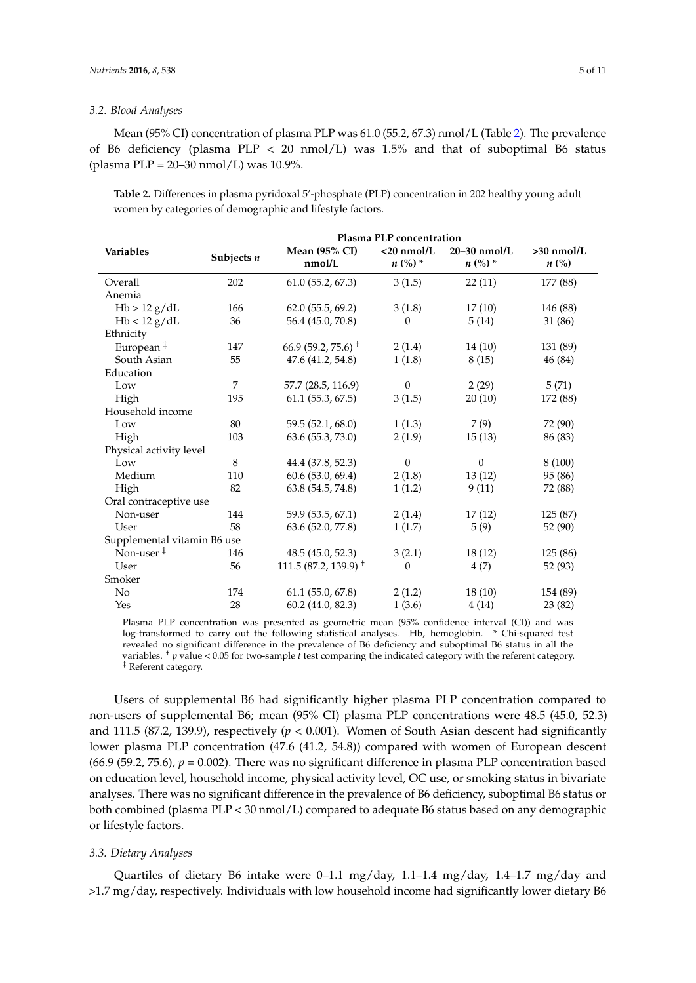### *3.2. Blood Analyses*

Mean (95% CI) concentration of plasma PLP was 61.0 (55.2, 67.3) nmol/L (Table [2\)](#page-4-0). The prevalence of B6 deficiency (plasma  $PLP < 20$  nmol/L) was 1.5% and that of suboptimal B6 status (plasma PLP = 20–30 nmol/L) was 10.9%.

<span id="page-4-0"></span>**Table 2.** Differences in plasma pyridoxal 5'-phosphate (PLP) concentration in 202 healthy young adult women by categories of demographic and lifestyle factors.

|                             | Plasma PLP concentration |                                             |                            |                                 |                                    |  |
|-----------------------------|--------------------------|---------------------------------------------|----------------------------|---------------------------------|------------------------------------|--|
| Variables                   | Subjects $n$             | <b>Mean (95% CI)</b><br>nmol/L              | $<$ 20 nmol/L<br>$n (%) *$ | 20-30 nmol/L<br>$n$ (%) $^\ast$ | $>30$ nmol/L<br>$n\left(\%\right)$ |  |
| Overall                     | 202                      | 61.0(55.2, 67.3)                            | 3(1.5)                     | 22(11)                          | 177 (88)                           |  |
| Anemia                      |                          |                                             |                            |                                 |                                    |  |
| Hb > 12 g/dL                | 166                      | 62.0(55.5, 69.2)                            | 3(1.8)                     | 17(10)                          | 146 (88)                           |  |
| Hb < 12 g/dL                | 36                       | 56.4 (45.0, 70.8)                           | $\theta$                   | 5(14)                           | 31 (86)                            |  |
| Ethnicity                   |                          |                                             |                            |                                 |                                    |  |
| European <sup>‡</sup>       | 147                      | 66.9 (59.2, 75.6) <sup><math>+</math></sup> | 2(1.4)                     | 14(10)                          | 131 (89)                           |  |
| South Asian                 | 55                       | 47.6 (41.2, 54.8)                           | 1(1.8)                     | 8(15)                           | 46 (84)                            |  |
| Education                   |                          |                                             |                            |                                 |                                    |  |
| Low                         | $\overline{7}$           | 57.7 (28.5, 116.9)                          | $\theta$                   | 2(29)                           | 5(71)                              |  |
| High                        | 195                      | 61.1(55.3, 67.5)                            | 3(1.5)                     | 20(10)                          | 172 (88)                           |  |
| Household income            |                          |                                             |                            |                                 |                                    |  |
| Low                         | 80                       | 59.5 (52.1, 68.0)                           | 1(1.3)                     | 7(9)                            | 72 (90)                            |  |
| High                        | 103                      | 63.6 (55.3, 73.0)                           | 2(1.9)                     | 15(13)                          | 86 (83)                            |  |
| Physical activity level     |                          |                                             |                            |                                 |                                    |  |
| Low                         | 8                        | 44.4 (37.8, 52.3)                           | $\theta$                   | $\mathbf{0}$                    | 8(100)                             |  |
| Medium                      | 110                      | 60.6 (53.0, 69.4)                           | 2(1.8)                     | 13(12)                          | 95 (86)                            |  |
| High                        | 82                       | 63.8 (54.5, 74.8)                           | 1(1.2)                     | 9(11)                           | 72 (88)                            |  |
| Oral contraceptive use      |                          |                                             |                            |                                 |                                    |  |
| Non-user                    | 144                      | 59.9 (53.5, 67.1)                           | 2(1.4)                     | 17(12)                          | 125 (87)                           |  |
| User                        | 58                       | 63.6 (52.0, 77.8)                           | 1(1.7)                     | 5(9)                            | 52 (90)                            |  |
| Supplemental vitamin B6 use |                          |                                             |                            |                                 |                                    |  |
| Non-user $‡$                | 146                      | 48.5 (45.0, 52.3)                           | 3(2.1)                     | 18(12)                          | 125 (86)                           |  |
| User                        | 56                       | $111.5(87.2, 139.9)^+$                      | $\theta$                   | 4(7)                            | 52 (93)                            |  |
| Smoker                      |                          |                                             |                            |                                 |                                    |  |
| No                          | 174                      | 61.1(55.0, 67.8)                            | 2(1.2)                     | 18(10)                          | 154 (89)                           |  |
| Yes                         | 28                       | 60.2 (44.0, 82.3)                           | 1(3.6)                     | 4(14)                           | 23 (82)                            |  |

Plasma PLP concentration was presented as geometric mean (95% confidence interval (CI)) and was log-transformed to carry out the following statistical analyses. Hb, hemoglobin. \* Chi-squared test revealed no significant difference in the prevalence of B6 deficiency and suboptimal B6 status in all the variables. † *p* value < 0.05 for two-sample *t* test comparing the indicated category with the referent category. ‡ Referent category.

Users of supplemental B6 had significantly higher plasma PLP concentration compared to non-users of supplemental B6; mean (95% CI) plasma PLP concentrations were 48.5 (45.0, 52.3) and 111.5 (87.2, 139.9), respectively (*p* < 0.001). Women of South Asian descent had significantly lower plasma PLP concentration (47.6 (41.2, 54.8)) compared with women of European descent  $(66.9 (59.2, 75.6), p = 0.002)$ . There was no significant difference in plasma PLP concentration based on education level, household income, physical activity level, OC use, or smoking status in bivariate analyses. There was no significant difference in the prevalence of B6 deficiency, suboptimal B6 status or both combined (plasma PLP < 30 nmol/L) compared to adequate B6 status based on any demographic or lifestyle factors.

#### *3.3. Dietary Analyses*

Quartiles of dietary B6 intake were 0–1.1 mg/day, 1.1–1.4 mg/day, 1.4–1.7 mg/day and >1.7 mg/day, respectively. Individuals with low household income had significantly lower dietary B6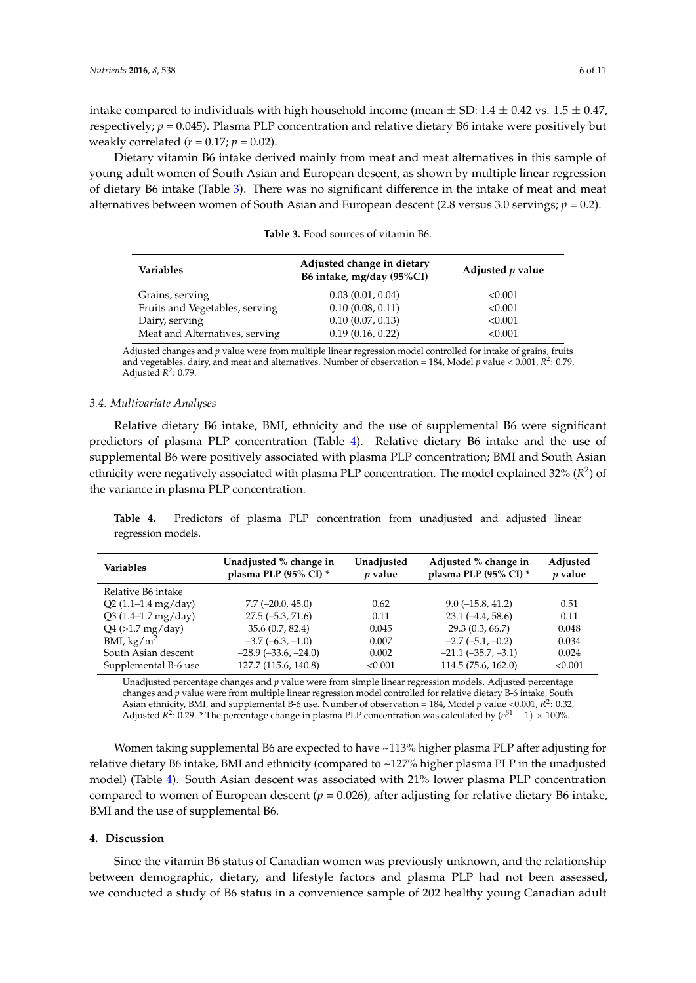intake compared to individuals with high household income (mean  $\pm$  SD: 1.4  $\pm$  0.42 vs. 1.5  $\pm$  0.47, respectively;  $p = 0.045$ ). Plasma PLP concentration and relative dietary B6 intake were positively but weakly correlated  $(r = 0.17; p = 0.02)$ .

Dietary vitamin B6 intake derived mainly from meat and meat alternatives in this sample of young adult women of South Asian and European descent, as shown by multiple linear regression of dietary B6 intake (Table [3\)](#page-5-0). There was no significant difference in the intake of meat and meat alternatives between women of South Asian and European descent (2.8 versus 3.0 servings; *p* = 0.2).

<span id="page-5-0"></span>

| <b>Variables</b>               | Adjusted change in dietary<br>B6 intake, mg/day (95%CI) | Adjusted <i>p</i> value |
|--------------------------------|---------------------------------------------------------|-------------------------|
| Grains, serving                | 0.03(0.01, 0.04)                                        | < 0.001                 |
| Fruits and Vegetables, serving | 0.10(0.08, 0.11)                                        | < 0.001                 |
| Dairy, serving                 | 0.10(0.07, 0.13)                                        | < 0.001                 |
| Meat and Alternatives, serving | 0.19(0.16, 0.22)                                        | < 0.001                 |

**Table 3.** Food sources of vitamin B6.

Adjusted changes and *p* value were from multiple linear regression model controlled for intake of grains, fruits and vegetables, dairy, and meat and alternatives. Number of observation = 184, Model *p* value < 0.001, *R* 2 : 0.79, Adjusted *R* 2 : 0.79.

## *3.4. Multivariate Analyses*

Relative dietary B6 intake, BMI, ethnicity and the use of supplemental B6 were significant predictors of plasma PLP concentration (Table [4\)](#page-5-1). Relative dietary B6 intake and the use of supplemental B6 were positively associated with plasma PLP concentration; BMI and South Asian ethnicity were negatively associated with plasma PLP concentration. The model explained 32% (R<sup>2</sup>) of the variance in plasma PLP concentration.

<span id="page-5-1"></span>**Table 4.** Predictors of plasma PLP concentration from unadjusted and adjusted linear regression models.

| Variables                   | Unadjusted % change in<br>plasma PLP (95% CI) * | Unadjusted<br><i>p</i> value | Adjusted % change in<br>plasma PLP (95% CI) * | Adjusted<br>$p$ value |
|-----------------------------|-------------------------------------------------|------------------------------|-----------------------------------------------|-----------------------|
| Relative B6 intake          |                                                 |                              |                                               |                       |
| $Q2(1.1-1.4 mg/day)$        | $7.7(-20.0, 45.0)$                              | 0.62                         | $9.0(-15.8, 41.2)$                            | 0.51                  |
| Q3 (1.4-1.7 mg/day)         | $27.5(-5.3, 71.6)$                              | 0.11                         | $23.1(-4.4, 58.6)$                            | 0.11                  |
| $Q4$ (>1.7 mg/day)          | 35.6 (0.7, 82.4)                                | 0.045                        | 29.3(0.3, 66.7)                               | 0.048                 |
| BMI, $\text{kg}/\text{m}^2$ | $-3.7(-6.3,-1.0)$                               | 0.007                        | $-2.7(-5.1,-0.2)$                             | 0.034                 |
| South Asian descent         | $-28.9(-33.6, -24.0)$                           | 0.002                        | $-21.1$ $(-35.7, -3.1)$                       | 0.024                 |
| Supplemental B-6 use        | 127.7 (115.6, 140.8)                            | < 0.001                      | 114.5(75.6, 162.0)                            | < 0.001               |

Unadjusted percentage changes and *p* value were from simple linear regression models. Adjusted percentage changes and *p* value were from multiple linear regression model controlled for relative dietary B-6 intake, South Asian ethnicity, BMI, and supplemental B-6 use. Number of observation = 184, Model *p* value <0.001,  $R^2$ : 0.32, Adjusted  $R^2$ : 0.29. \* The percentage change in plasma PLP concentration was calculated by  $(e^{\beta 1} - 1) \times 100\%$ .

Women taking supplemental B6 are expected to have ~113% higher plasma PLP after adjusting for relative dietary B6 intake, BMI and ethnicity (compared to ~127% higher plasma PLP in the unadjusted model) (Table [4\)](#page-5-1). South Asian descent was associated with 21% lower plasma PLP concentration compared to women of European descent  $(p = 0.026)$ , after adjusting for relative dietary B6 intake, BMI and the use of supplemental B6.

## **4. Discussion**

Since the vitamin B6 status of Canadian women was previously unknown, and the relationship between demographic, dietary, and lifestyle factors and plasma PLP had not been assessed, we conducted a study of B6 status in a convenience sample of 202 healthy young Canadian adult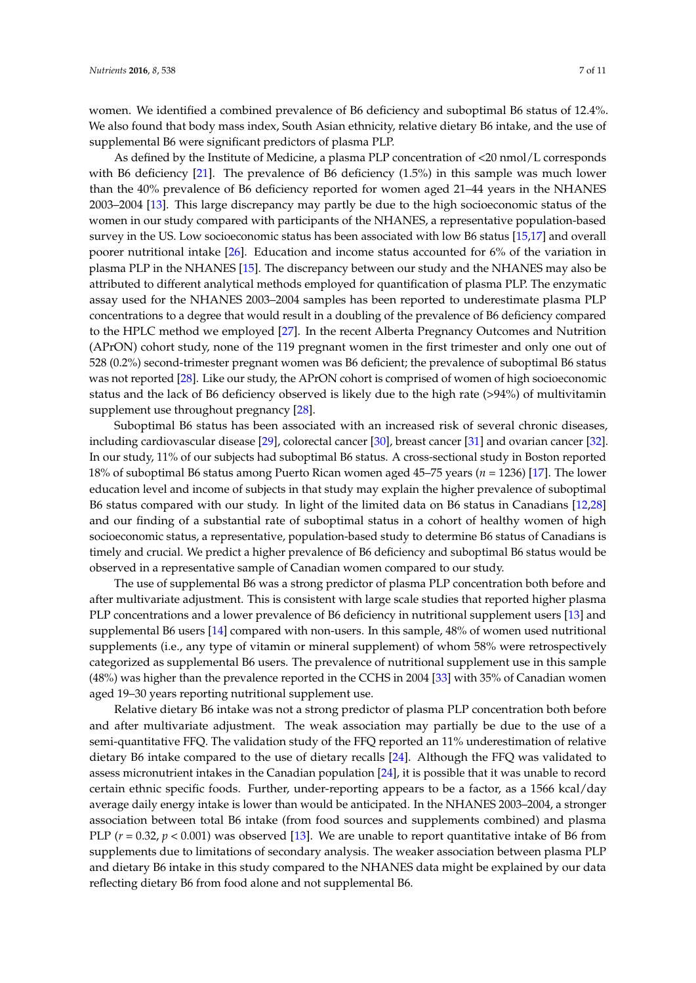women. We identified a combined prevalence of B6 deficiency and suboptimal B6 status of 12.4%. We also found that body mass index, South Asian ethnicity, relative dietary B6 intake, and the use of supplemental B6 were significant predictors of plasma PLP.

As defined by the Institute of Medicine, a plasma PLP concentration of <20 nmol/L corresponds with B6 deficiency [\[21\]](#page-9-5). The prevalence of B6 deficiency (1.5%) in this sample was much lower than the 40% prevalence of B6 deficiency reported for women aged 21–44 years in the NHANES 2003–2004 [\[13\]](#page-8-12). This large discrepancy may partly be due to the high socioeconomic status of the women in our study compared with participants of the NHANES, a representative population-based survey in the US. Low socioeconomic status has been associated with low B6 status [\[15,](#page-8-14)[17\]](#page-9-1) and overall poorer nutritional intake [\[26\]](#page-9-10). Education and income status accounted for 6% of the variation in plasma PLP in the NHANES [\[15\]](#page-8-14). The discrepancy between our study and the NHANES may also be attributed to different analytical methods employed for quantification of plasma PLP. The enzymatic assay used for the NHANES 2003–2004 samples has been reported to underestimate plasma PLP concentrations to a degree that would result in a doubling of the prevalence of B6 deficiency compared to the HPLC method we employed [\[27\]](#page-9-11). In the recent Alberta Pregnancy Outcomes and Nutrition (APrON) cohort study, none of the 119 pregnant women in the first trimester and only one out of 528 (0.2%) second-trimester pregnant women was B6 deficient; the prevalence of suboptimal B6 status was not reported [\[28\]](#page-9-12). Like our study, the APrON cohort is comprised of women of high socioeconomic status and the lack of B6 deficiency observed is likely due to the high rate (>94%) of multivitamin supplement use throughout pregnancy [\[28\]](#page-9-12).

Suboptimal B6 status has been associated with an increased risk of several chronic diseases, including cardiovascular disease [\[29\]](#page-9-13), colorectal cancer [\[30\]](#page-9-14), breast cancer [\[31\]](#page-9-15) and ovarian cancer [\[32\]](#page-9-16). In our study, 11% of our subjects had suboptimal B6 status. A cross-sectional study in Boston reported 18% of suboptimal B6 status among Puerto Rican women aged 45–75 years (*n* = 1236) [\[17\]](#page-9-1). The lower education level and income of subjects in that study may explain the higher prevalence of suboptimal B6 status compared with our study. In light of the limited data on B6 status in Canadians [\[12](#page-8-11)[,28\]](#page-9-12) and our finding of a substantial rate of suboptimal status in a cohort of healthy women of high socioeconomic status, a representative, population-based study to determine B6 status of Canadians is timely and crucial. We predict a higher prevalence of B6 deficiency and suboptimal B6 status would be observed in a representative sample of Canadian women compared to our study.

The use of supplemental B6 was a strong predictor of plasma PLP concentration both before and after multivariate adjustment. This is consistent with large scale studies that reported higher plasma PLP concentrations and a lower prevalence of B6 deficiency in nutritional supplement users [\[13\]](#page-8-12) and supplemental B6 users [\[14\]](#page-8-13) compared with non-users. In this sample, 48% of women used nutritional supplements (i.e., any type of vitamin or mineral supplement) of whom 58% were retrospectively categorized as supplemental B6 users. The prevalence of nutritional supplement use in this sample (48%) was higher than the prevalence reported in the CCHS in 2004 [\[33\]](#page-9-17) with 35% of Canadian women aged 19–30 years reporting nutritional supplement use.

Relative dietary B6 intake was not a strong predictor of plasma PLP concentration both before and after multivariate adjustment. The weak association may partially be due to the use of a semi-quantitative FFQ. The validation study of the FFQ reported an 11% underestimation of relative dietary B6 intake compared to the use of dietary recalls [\[24\]](#page-9-8). Although the FFQ was validated to assess micronutrient intakes in the Canadian population [\[24\]](#page-9-8), it is possible that it was unable to record certain ethnic specific foods. Further, under-reporting appears to be a factor, as a 1566 kcal/day average daily energy intake is lower than would be anticipated. In the NHANES 2003–2004, a stronger association between total B6 intake (from food sources and supplements combined) and plasma PLP ( $r = 0.32$ ,  $p < 0.001$ ) was observed [\[13\]](#page-8-12). We are unable to report quantitative intake of B6 from supplements due to limitations of secondary analysis. The weaker association between plasma PLP and dietary B6 intake in this study compared to the NHANES data might be explained by our data reflecting dietary B6 from food alone and not supplemental B6.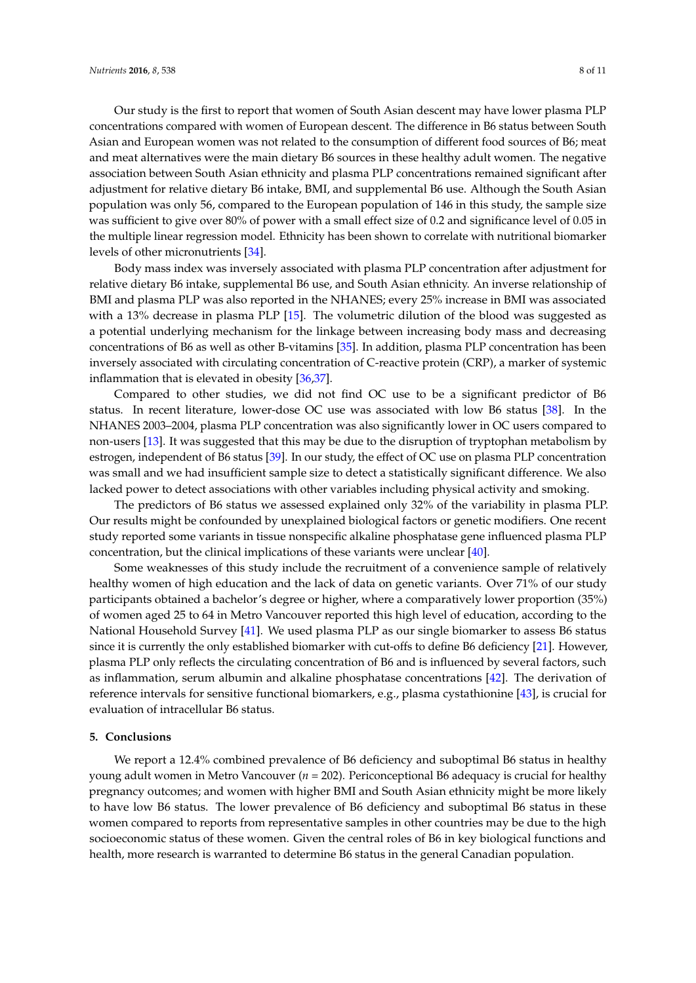Our study is the first to report that women of South Asian descent may have lower plasma PLP concentrations compared with women of European descent. The difference in B6 status between South Asian and European women was not related to the consumption of different food sources of B6; meat and meat alternatives were the main dietary B6 sources in these healthy adult women. The negative association between South Asian ethnicity and plasma PLP concentrations remained significant after adjustment for relative dietary B6 intake, BMI, and supplemental B6 use. Although the South Asian population was only 56, compared to the European population of 146 in this study, the sample size was sufficient to give over 80% of power with a small effect size of 0.2 and significance level of 0.05 in the multiple linear regression model. Ethnicity has been shown to correlate with nutritional biomarker levels of other micronutrients [\[34\]](#page-9-18).

Body mass index was inversely associated with plasma PLP concentration after adjustment for relative dietary B6 intake, supplemental B6 use, and South Asian ethnicity. An inverse relationship of BMI and plasma PLP was also reported in the NHANES; every 25% increase in BMI was associated with a 13% decrease in plasma PLP [\[15\]](#page-8-14). The volumetric dilution of the blood was suggested as a potential underlying mechanism for the linkage between increasing body mass and decreasing concentrations of B6 as well as other B-vitamins [\[35\]](#page-9-19). In addition, plasma PLP concentration has been inversely associated with circulating concentration of C-reactive protein (CRP), a marker of systemic inflammation that is elevated in obesity [\[36](#page-10-0)[,37\]](#page-10-1).

Compared to other studies, we did not find OC use to be a significant predictor of B6 status. In recent literature, lower-dose OC use was associated with low B6 status [\[38\]](#page-10-2). In the NHANES 2003–2004, plasma PLP concentration was also significantly lower in OC users compared to non-users [\[13\]](#page-8-12). It was suggested that this may be due to the disruption of tryptophan metabolism by estrogen, independent of B6 status [\[39\]](#page-10-3). In our study, the effect of OC use on plasma PLP concentration was small and we had insufficient sample size to detect a statistically significant difference. We also lacked power to detect associations with other variables including physical activity and smoking.

The predictors of B6 status we assessed explained only 32% of the variability in plasma PLP. Our results might be confounded by unexplained biological factors or genetic modifiers. One recent study reported some variants in tissue nonspecific alkaline phosphatase gene influenced plasma PLP concentration, but the clinical implications of these variants were unclear [\[40\]](#page-10-4).

Some weaknesses of this study include the recruitment of a convenience sample of relatively healthy women of high education and the lack of data on genetic variants. Over 71% of our study participants obtained a bachelor's degree or higher, where a comparatively lower proportion (35%) of women aged 25 to 64 in Metro Vancouver reported this high level of education, according to the National Household Survey [\[41\]](#page-10-5). We used plasma PLP as our single biomarker to assess B6 status since it is currently the only established biomarker with cut-offs to define B6 deficiency [\[21\]](#page-9-5). However, plasma PLP only reflects the circulating concentration of B6 and is influenced by several factors, such as inflammation, serum albumin and alkaline phosphatase concentrations [\[42\]](#page-10-6). The derivation of reference intervals for sensitive functional biomarkers, e.g., plasma cystathionine [\[43\]](#page-10-7), is crucial for evaluation of intracellular B6 status.

## **5. Conclusions**

We report a 12.4% combined prevalence of B6 deficiency and suboptimal B6 status in healthy young adult women in Metro Vancouver (*n* = 202). Periconceptional B6 adequacy is crucial for healthy pregnancy outcomes; and women with higher BMI and South Asian ethnicity might be more likely to have low B6 status. The lower prevalence of B6 deficiency and suboptimal B6 status in these women compared to reports from representative samples in other countries may be due to the high socioeconomic status of these women. Given the central roles of B6 in key biological functions and health, more research is warranted to determine B6 status in the general Canadian population.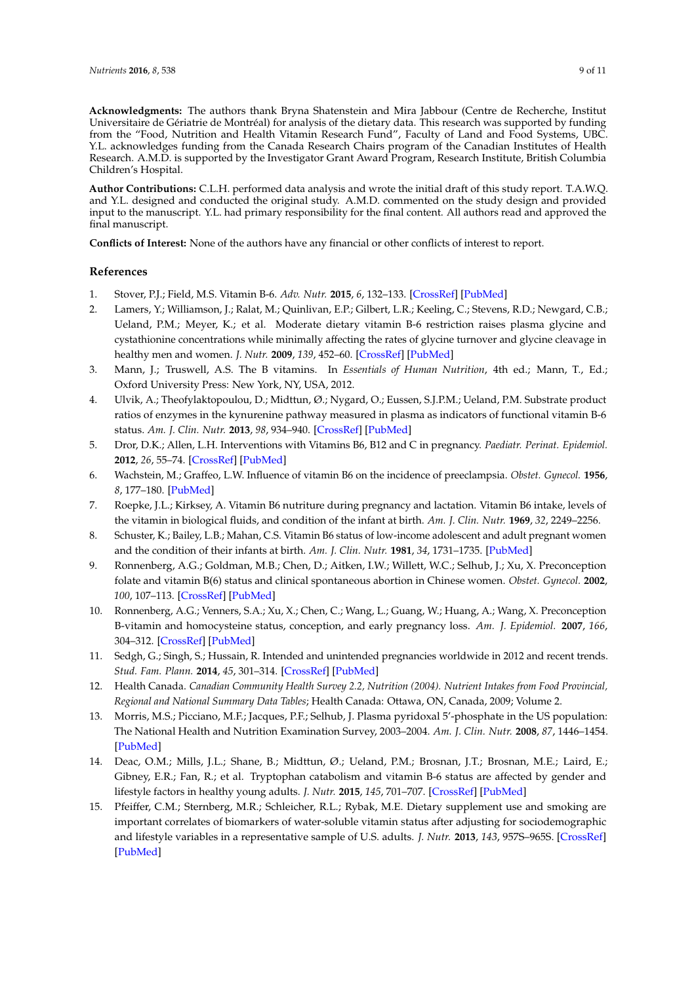**Acknowledgments:** The authors thank Bryna Shatenstein and Mira Jabbour (Centre de Recherche, Institut Universitaire de Gériatrie de Montréal) for analysis of the dietary data. This research was supported by funding from the "Food, Nutrition and Health Vitamin Research Fund", Faculty of Land and Food Systems, UBC. Y.L. acknowledges funding from the Canada Research Chairs program of the Canadian Institutes of Health Research. A.M.D. is supported by the Investigator Grant Award Program, Research Institute, British Columbia Children's Hospital.

**Author Contributions:** C.L.H. performed data analysis and wrote the initial draft of this study report. T.A.W.Q. and Y.L. designed and conducted the original study. A.M.D. commented on the study design and provided input to the manuscript. Y.L. had primary responsibility for the final content. All authors read and approved the final manuscript.

**Conflicts of Interest:** None of the authors have any financial or other conflicts of interest to report.

## **References**

- <span id="page-8-0"></span>1. Stover, P.J.; Field, M.S. Vitamin B-6. *Adv. Nutr.* **2015**, *6*, 132–133. [\[CrossRef\]](http://dx.doi.org/10.3945/an.113.005207) [\[PubMed\]](http://www.ncbi.nlm.nih.gov/pubmed/25593152)
- <span id="page-8-1"></span>2. Lamers, Y.; Williamson, J.; Ralat, M.; Quinlivan, E.P.; Gilbert, L.R.; Keeling, C.; Stevens, R.D.; Newgard, C.B.; Ueland, P.M.; Meyer, K.; et al. Moderate dietary vitamin B-6 restriction raises plasma glycine and cystathionine concentrations while minimally affecting the rates of glycine turnover and glycine cleavage in healthy men and women. *J. Nutr.* **2009**, *139*, 452–60. [\[CrossRef\]](http://dx.doi.org/10.3945/jn.108.099184) [\[PubMed\]](http://www.ncbi.nlm.nih.gov/pubmed/19158217)
- <span id="page-8-2"></span>3. Mann, J.; Truswell, A.S. The B vitamins. In *Essentials of Human Nutrition*, 4th ed.; Mann, T., Ed.; Oxford University Press: New York, NY, USA, 2012.
- <span id="page-8-3"></span>4. Ulvik, A.; Theofylaktopoulou, D.; Midttun, Ø.; Nygard, O.; Eussen, S.J.P.M.; Ueland, P.M. Substrate product ratios of enzymes in the kynurenine pathway measured in plasma as indicators of functional vitamin B-6 status. *Am. J. Clin. Nutr.* **2013**, *98*, 934–940. [\[CrossRef\]](http://dx.doi.org/10.3945/ajcn.113.064998) [\[PubMed\]](http://www.ncbi.nlm.nih.gov/pubmed/24004893)
- <span id="page-8-4"></span>5. Dror, D.K.; Allen, L.H. Interventions with Vitamins B6, B12 and C in pregnancy. *Paediatr. Perinat. Epidemiol.* **2012**, *26*, 55–74. [\[CrossRef\]](http://dx.doi.org/10.1111/j.1365-3016.2012.01277.x) [\[PubMed\]](http://www.ncbi.nlm.nih.gov/pubmed/22742602)
- <span id="page-8-5"></span>6. Wachstein, M.; Graffeo, L.W. Influence of vitamin B6 on the incidence of preeclampsia. *Obstet. Gynecol.* **1956**, *8*, 177–180. [\[PubMed\]](http://www.ncbi.nlm.nih.gov/pubmed/13349042)
- <span id="page-8-6"></span>7. Roepke, J.L.; Kirksey, A. Vitamin B6 nutriture during pregnancy and lactation. Vitamin B6 intake, levels of the vitamin in biological fluids, and condition of the infant at birth. *Am. J. Clin. Nutr.* **1969**, *32*, 2249–2256.
- <span id="page-8-7"></span>8. Schuster, K.; Bailey, L.B.; Mahan, C.S. Vitamin B6 status of low-income adolescent and adult pregnant women and the condition of their infants at birth. *Am. J. Clin. Nutr.* **1981**, *34*, 1731–1735. [\[PubMed\]](http://www.ncbi.nlm.nih.gov/pubmed/7282601)
- <span id="page-8-8"></span>9. Ronnenberg, A.G.; Goldman, M.B.; Chen, D.; Aitken, I.W.; Willett, W.C.; Selhub, J.; Xu, X. Preconception folate and vitamin B(6) status and clinical spontaneous abortion in Chinese women. *Obstet. Gynecol.* **2002**, *100*, 107–113. [\[CrossRef\]](http://dx.doi.org/10.1097/00006250-200207000-00017) [\[PubMed\]](http://www.ncbi.nlm.nih.gov/pubmed/12100811)
- <span id="page-8-9"></span>10. Ronnenberg, A.G.; Venners, S.A.; Xu, X.; Chen, C.; Wang, L.; Guang, W.; Huang, A.; Wang, X. Preconception B-vitamin and homocysteine status, conception, and early pregnancy loss. *Am. J. Epidemiol.* **2007**, *166*, 304–312. [\[CrossRef\]](http://dx.doi.org/10.1093/aje/kwm078) [\[PubMed\]](http://www.ncbi.nlm.nih.gov/pubmed/17478435)
- <span id="page-8-10"></span>11. Sedgh, G.; Singh, S.; Hussain, R. Intended and unintended pregnancies worldwide in 2012 and recent trends. *Stud. Fam. Plann.* **2014**, *45*, 301–314. [\[CrossRef\]](http://dx.doi.org/10.1111/j.1728-4465.2014.00393.x) [\[PubMed\]](http://www.ncbi.nlm.nih.gov/pubmed/25207494)
- <span id="page-8-11"></span>12. Health Canada. *Canadian Community Health Survey 2.2, Nutrition (2004). Nutrient Intakes from Food Provincial, Regional and National Summary Data Tables*; Health Canada: Ottawa, ON, Canada, 2009; Volume 2.
- <span id="page-8-12"></span>13. Morris, M.S.; Picciano, M.F.; Jacques, P.F.; Selhub, J. Plasma pyridoxal 5'-phosphate in the US population: The National Health and Nutrition Examination Survey, 2003–2004. *Am. J. Clin. Nutr.* **2008**, *87*, 1446–1454. [\[PubMed\]](http://www.ncbi.nlm.nih.gov/pubmed/18469270)
- <span id="page-8-13"></span>14. Deac, O.M.; Mills, J.L.; Shane, B.; Midttun, Ø.; Ueland, P.M.; Brosnan, J.T.; Brosnan, M.E.; Laird, E.; Gibney, E.R.; Fan, R.; et al. Tryptophan catabolism and vitamin B-6 status are affected by gender and lifestyle factors in healthy young adults. *J. Nutr.* **2015**, *145*, 701–707. [\[CrossRef\]](http://dx.doi.org/10.3945/jn.114.203091) [\[PubMed\]](http://www.ncbi.nlm.nih.gov/pubmed/25833774)
- <span id="page-8-14"></span>15. Pfeiffer, C.M.; Sternberg, M.R.; Schleicher, R.L.; Rybak, M.E. Dietary supplement use and smoking are important correlates of biomarkers of water-soluble vitamin status after adjusting for sociodemographic and lifestyle variables in a representative sample of U.S. adults. *J. Nutr.* **2013**, *143*, 957S–965S. [\[CrossRef\]](http://dx.doi.org/10.3945/jn.112.173021) [\[PubMed\]](http://www.ncbi.nlm.nih.gov/pubmed/23576641)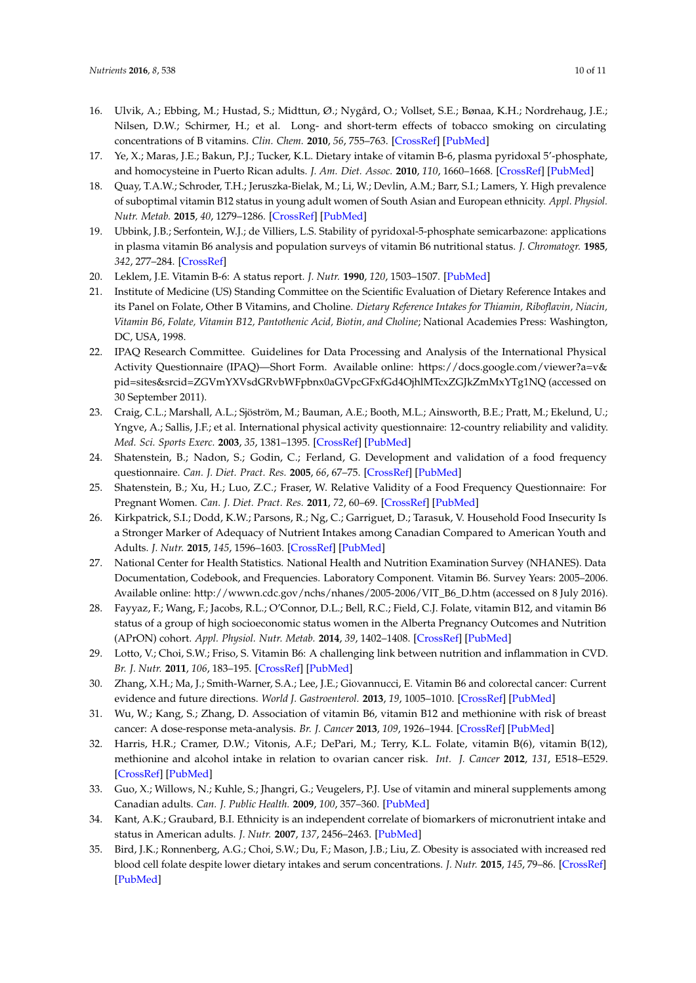- <span id="page-9-0"></span>16. Ulvik, A.; Ebbing, M.; Hustad, S.; Midttun, Ø.; Nygård, O.; Vollset, S.E.; Bønaa, K.H.; Nordrehaug, J.E.; Nilsen, D.W.; Schirmer, H.; et al. Long- and short-term effects of tobacco smoking on circulating concentrations of B vitamins. *Clin. Chem.* **2010**, *56*, 755–763. [\[CrossRef\]](http://dx.doi.org/10.1373/clinchem.2009.137513) [\[PubMed\]](http://www.ncbi.nlm.nih.gov/pubmed/20299681)
- <span id="page-9-1"></span>17. Ye, X.; Maras, J.E.; Bakun, P.J.; Tucker, K.L. Dietary intake of vitamin B-6, plasma pyridoxal 5'-phosphate, and homocysteine in Puerto Rican adults. *J. Am. Diet. Assoc.* **2010**, *110*, 1660–1668. [\[CrossRef\]](http://dx.doi.org/10.1016/j.jada.2010.08.006) [\[PubMed\]](http://www.ncbi.nlm.nih.gov/pubmed/21034879)
- <span id="page-9-2"></span>18. Quay, T.A.W.; Schroder, T.H.; Jeruszka-Bielak, M.; Li, W.; Devlin, A.M.; Barr, S.I.; Lamers, Y. High prevalence of suboptimal vitamin B12 status in young adult women of South Asian and European ethnicity. *Appl. Physiol. Nutr. Metab.* **2015**, *40*, 1279–1286. [\[CrossRef\]](http://dx.doi.org/10.1139/apnm-2015-0200) [\[PubMed\]](http://www.ncbi.nlm.nih.gov/pubmed/26579949)
- <span id="page-9-3"></span>19. Ubbink, J.B.; Serfontein, W.J.; de Villiers, L.S. Stability of pyridoxal-5-phosphate semicarbazone: applications in plasma vitamin B6 analysis and population surveys of vitamin B6 nutritional status. *J. Chromatogr.* **1985**, *342*, 277–284. [\[CrossRef\]](http://dx.doi.org/10.1016/S0378-4347(00)84518-1)
- <span id="page-9-4"></span>20. Leklem, J.E. Vitamin B-6: A status report. *J. Nutr.* **1990**, *120*, 1503–1507. [\[PubMed\]](http://www.ncbi.nlm.nih.gov/pubmed/2243296)
- <span id="page-9-5"></span>21. Institute of Medicine (US) Standing Committee on the Scientific Evaluation of Dietary Reference Intakes and its Panel on Folate, Other B Vitamins, and Choline. *Dietary Reference Intakes for Thiamin, Riboflavin, Niacin, Vitamin B6, Folate, Vitamin B12, Pantothenic Acid, Biotin, and Choline*; National Academies Press: Washington, DC, USA, 1998.
- <span id="page-9-6"></span>22. IPAQ Research Committee. Guidelines for Data Processing and Analysis of the International Physical Activity Questionnaire (IPAQ)—Short Form. Available online: [https://docs.google.com/viewer?a=v&](https://docs.google.com/viewer?a=v&pid=sites&srcid=ZGVmYXVsdGRvbWFpbnx0aGVpcGFxfGd4OjhlMTcxZGJkZmMxYTg1NQ) [pid=sites&srcid=ZGVmYXVsdGRvbWFpbnx0aGVpcGFxfGd4OjhlMTcxZGJkZmMxYTg1NQ](https://docs.google.com/viewer?a=v&pid=sites&srcid=ZGVmYXVsdGRvbWFpbnx0aGVpcGFxfGd4OjhlMTcxZGJkZmMxYTg1NQ) (accessed on 30 September 2011).
- <span id="page-9-7"></span>23. Craig, C.L.; Marshall, A.L.; Sjöström, M.; Bauman, A.E.; Booth, M.L.; Ainsworth, B.E.; Pratt, M.; Ekelund, U.; Yngve, A.; Sallis, J.F.; et al. International physical activity questionnaire: 12-country reliability and validity. *Med. Sci. Sports Exerc.* **2003**, *35*, 1381–1395. [\[CrossRef\]](http://dx.doi.org/10.1249/01.MSS.0000078924.61453.FB) [\[PubMed\]](http://www.ncbi.nlm.nih.gov/pubmed/12900694)
- <span id="page-9-8"></span>24. Shatenstein, B.; Nadon, S.; Godin, C.; Ferland, G. Development and validation of a food frequency questionnaire. *Can. J. Diet. Pract. Res.* **2005**, *66*, 67–75. [\[CrossRef\]](http://dx.doi.org/10.3148/66.2.2005.67) [\[PubMed\]](http://www.ncbi.nlm.nih.gov/pubmed/15975195)
- <span id="page-9-9"></span>25. Shatenstein, B.; Xu, H.; Luo, Z.C.; Fraser, W. Relative Validity of a Food Frequency Questionnaire: For Pregnant Women. *Can. J. Diet. Pract. Res.* **2011**, *72*, 60–69. [\[CrossRef\]](http://dx.doi.org/10.3148/72.2.2011.60) [\[PubMed\]](http://www.ncbi.nlm.nih.gov/pubmed/21645424)
- <span id="page-9-10"></span>26. Kirkpatrick, S.I.; Dodd, K.W.; Parsons, R.; Ng, C.; Garriguet, D.; Tarasuk, V. Household Food Insecurity Is a Stronger Marker of Adequacy of Nutrient Intakes among Canadian Compared to American Youth and Adults. *J. Nutr.* **2015**, *145*, 1596–1603. [\[CrossRef\]](http://dx.doi.org/10.3945/jn.114.208579) [\[PubMed\]](http://www.ncbi.nlm.nih.gov/pubmed/25995277)
- <span id="page-9-11"></span>27. National Center for Health Statistics. National Health and Nutrition Examination Survey (NHANES). Data Documentation, Codebook, and Frequencies. Laboratory Component. Vitamin B6. Survey Years: 2005–2006. Available online: [http://wwwn.cdc.gov/nchs/nhanes/2005-2006/VIT\\_B6\\_D.htm](http://wwwn.cdc.gov/nchs/nhanes/2005-2006/VIT_B6_D.htm) (accessed on 8 July 2016).
- <span id="page-9-12"></span>28. Fayyaz, F.; Wang, F.; Jacobs, R.L.; O'Connor, D.L.; Bell, R.C.; Field, C.J. Folate, vitamin B12, and vitamin B6 status of a group of high socioeconomic status women in the Alberta Pregnancy Outcomes and Nutrition (APrON) cohort. *Appl. Physiol. Nutr. Metab.* **2014**, *39*, 1402–1408. [\[CrossRef\]](http://dx.doi.org/10.1139/apnm-2014-0181) [\[PubMed\]](http://www.ncbi.nlm.nih.gov/pubmed/25386981)
- <span id="page-9-13"></span>29. Lotto, V.; Choi, S.W.; Friso, S. Vitamin B6: A challenging link between nutrition and inflammation in CVD. *Br. J. Nutr.* **2011**, *106*, 183–195. [\[CrossRef\]](http://dx.doi.org/10.1017/S0007114511000407) [\[PubMed\]](http://www.ncbi.nlm.nih.gov/pubmed/21486513)
- <span id="page-9-14"></span>30. Zhang, X.H.; Ma, J.; Smith-Warner, S.A.; Lee, J.E.; Giovannucci, E. Vitamin B6 and colorectal cancer: Current evidence and future directions. *World J. Gastroenterol.* **2013**, *19*, 1005–1010. [\[CrossRef\]](http://dx.doi.org/10.3748/wjg.v19.i7.1005) [\[PubMed\]](http://www.ncbi.nlm.nih.gov/pubmed/23467420)
- <span id="page-9-15"></span>31. Wu, W.; Kang, S.; Zhang, D. Association of vitamin B6, vitamin B12 and methionine with risk of breast cancer: A dose-response meta-analysis. *Br. J. Cancer* **2013**, *109*, 1926–1944. [\[CrossRef\]](http://dx.doi.org/10.1038/bjc.2013.438) [\[PubMed\]](http://www.ncbi.nlm.nih.gov/pubmed/23907430)
- <span id="page-9-16"></span>32. Harris, H.R.; Cramer, D.W.; Vitonis, A.F.; DePari, M.; Terry, K.L. Folate, vitamin B(6), vitamin B(12), methionine and alcohol intake in relation to ovarian cancer risk. *Int. J. Cancer* **2012**, *131*, E518–E529. [\[CrossRef\]](http://dx.doi.org/10.1002/ijc.26455) [\[PubMed\]](http://www.ncbi.nlm.nih.gov/pubmed/21953625)
- <span id="page-9-17"></span>33. Guo, X.; Willows, N.; Kuhle, S.; Jhangri, G.; Veugelers, P.J. Use of vitamin and mineral supplements among Canadian adults. *Can. J. Public Health.* **2009**, *100*, 357–360. [\[PubMed\]](http://www.ncbi.nlm.nih.gov/pubmed/19994737)
- <span id="page-9-18"></span>34. Kant, A.K.; Graubard, B.I. Ethnicity is an independent correlate of biomarkers of micronutrient intake and status in American adults. *J. Nutr.* **2007**, *137*, 2456–2463. [\[PubMed\]](http://www.ncbi.nlm.nih.gov/pubmed/17951485)
- <span id="page-9-19"></span>35. Bird, J.K.; Ronnenberg, A.G.; Choi, S.W.; Du, F.; Mason, J.B.; Liu, Z. Obesity is associated with increased red blood cell folate despite lower dietary intakes and serum concentrations. *J. Nutr.* **2015**, *145*, 79–86. [\[CrossRef\]](http://dx.doi.org/10.3945/jn.114.199117) [\[PubMed\]](http://www.ncbi.nlm.nih.gov/pubmed/25527662)